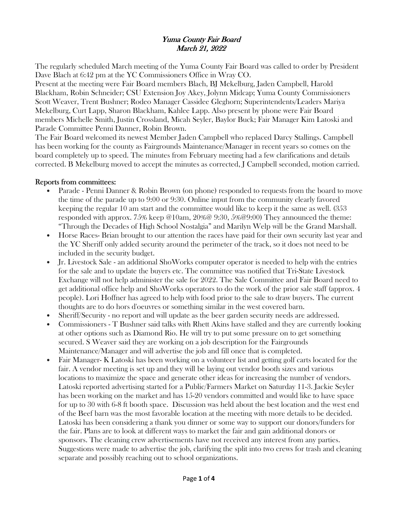## Yuma County Fair Board March 21, 2022

The regularly scheduled March meeting of the Yuma County Fair Board was called to order by President Dave Blach at 6:42 pm at the YC Commissioners Office in Wray CO.

Present at the meeting were Fair Board members Blach, BJ Mekelburg, Jaden Campbell, Harold Blackham, Robin Schneider; CSU Extension Joy Akey, Jolynn Midcap; Yuma County Commissioners Scott Weaver, Trent Bushner; Rodeo Manager Cassidee Gleghorn; Superintendents/Leaders Mariya Mekelburg, Curt Lapp, Sharon Blackham, Kahlee Lapp. Also present by phone were Fair Board members Michelle Smith, Justin Crossland, Micah Seyler, Baylor Buck; Fair Manager Kim Latoski and Parade Committee Penni Danner, Robin Brown.

The Fair Board welcomed its newest Member Jaden Campbell who replaced Darcy Stallings. Campbell has been working for the county as Fairgrounds Maintenance/Manager in recent years so comes on the board completely up to speed. The minutes from February meeting had a few clarifications and details corrected. B Mekelburg moved to accept the minutes as corrected, J Campbell seconded, motion carried.

## Reports from committees:

- Parade Penni Danner & Robin Brown (on phone) responded to requests from the board to move the time of the parade up to 9:00 or 9:30. Online input from the community clearly favored keeping the regular 10 am start and the committee would like to keep it the same as well. (353 responded with approx. 75% keep @10am, 20%@ 9:30, 5%@9:00) They announced the theme: "Through the Decades of High School Nostalgia" and Marilyn Welp will be the Grand Marshall.
- Horse Races- Brian brought to our attention the races have paid for their own security last year and the YC Sheriff only added security around the perimeter of the track, so it does not need to be included in the security budget.
- Jr. Livestock Sale an additional ShoWorks computer operator is needed to help with the entries for the sale and to update the buyers etc. The committee was notified that Tri-State Livestock Exchange will not help administer the sale for 2022. The Sale Committee and Fair Board need to get additional office help and ShoWorks operators to do the work of the prior sale staff (approx. 4 people). Lori Hoffner has agreed to help with food prior to the sale to draw buyers. The current thoughts are to do hors d'oeuvres or something similar in the west covered barn.
- Sheriff/Security no report and will update as the beer garden security needs are addressed.
- Commissioners T Bushner said talks with Rhett Akins have stalled and they are currently looking at other options such as Diamond Rio. He will try to put some pressure on to get something secured. S Weaver said they are working on a job description for the Fairgrounds Maintenance/Manager and will advertise the job and fill once that is completed.
- Fair Manager- K Latoski has been working on a volunteer list and getting golf carts located for the fair. A vendor meeting is set up and they will be laying out vendor booth sizes and various locations to maximize the space and generate other ideas for increasing the number of vendors. Latoski reported advertising started for a Public/Farmers Market on Saturday 11-3. Jackie Seyler has been working on the market and has 15-20 vendors committed and would like to have space for up to 30 with 6-8 ft booth space. Discussion was held about the best location and the west end of the Beef barn was the most favorable location at the meeting with more details to be decided. Latoski has been considering a thank you dinner or some way to support our donors/funders for the fair. Plans are to look at different ways to market the fair and gain additional donors or sponsors. The cleaning crew advertisements have not received any interest from any parties. Suggestions were made to advertise the job, clarifying the split into two crews for trash and cleaning separate and possibly reaching out to school organizations.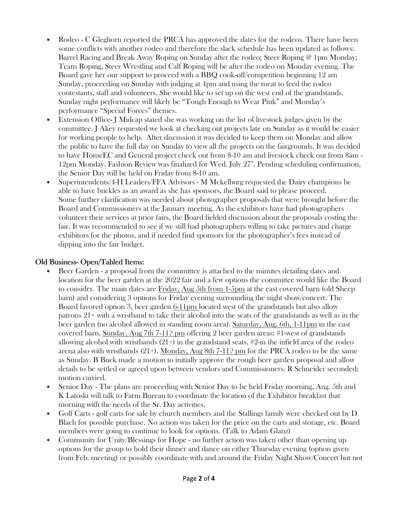- Rodeo C Gleghorn reported the PRCA has approved the dates for the rodeos. There have been some conflicts with another rodeo and therefore the slack schedule has been updated as follows: Barrel Racing and Break Away Roping on Sunday after the rodeo; Steer Roping @ 1pm Monday; Team Roping, Steer Wrestling and Calf Roping will be after the rodeo on Monday evening. The Board gave her our support to proceed with a BBQ cook-off/competition beginning 12 am Sunday, proceeding on Sunday with judging at 4pm and using the meat to feed the rodeo contestants, staff and volunteers. She would like to set up on the west end of the grandstands. Sunday night performance will likely be "Tough Enough to Wear Pink" and Monday's performance "Special Forces" themes.
- Extension Office- J Midcap stated she was working on the list of livestock judges given by the committee. J Akey requested we look at checking out projects late on Sunday as it would be easier for working people to help. After discussion it was decided to keep them on Monday and allow the public to have the full day on Sunday to view all the projects on the fairgrounds. It was decided to have HomeEC and General project check out from 8-10 am and livestock check out from 8am - 12pm Monday. Fashion Review was finalized for Wed. July  $27^{\circ}$ . Pending scheduling confirmation, the Senior Day will be held on Friday from 8-10 am.
- Superintendents/4-H Leaders/FFA Advisors M Mekelburg requested the Dairy champions be able to have buckles as an award as she has sponsors, the Board said to please proceed. Some further clarification was needed about photographer proposals that were brought before the Board and Commissioners at the January meeting. As the exhibitors have had photographers volunteer their services at prior fairs, the Board fielded discussion about the proposals costing the fair. It was recommended to see if we still had photographers willing to take pictures and charge exhibitors for the photos, and if needed find sponsors for the photographer's fees instead of dipping into the fair budget.

## Old Business-Open/Tabled Items:

- Beer Garden a proposal from the committee is attached to the minutes detailing dates and location for the beer garden at the 2022 fair and a few options the committee would like the Board to consider. The main dates are Friday, Aug 5th from 1-5pm at the east covered barn (old Sheep barn) and considering 3 options for Friday evening surrounding the night show/concert. The Board favored option 3, beer garden 6-11pm located west of the grandstands but also allow patrons 21+ with a wristband to take their alcohol into the seats of the grandstands as well as in the beer garden (no alcohol allowed in standing room area). Saturday, Aug. 6th, 1-11pm in the east covered barn. Sunday, Aug 7th 7-11? pm offering 2 beer garden areas: #1-west of grandstands allowing alcohol with wristbands  $(21+)$  in the grandstand seats, #2-in the infield area of the rodeo arena also with wristbands  $(21+)$ . Monday, Aug 8th 7-11? pm for the PRCA rodeo to be the same as Sunday. B Buck made a motion to initially approve the rough beer garden proposal and allow details to be settled or agreed upon between vendors and Commissioners. R Schneider seconded; motion carried.
- Senior Day The plans are proceeding with Senior Day to be held Friday morning, Aug. 5th and K Latoski will talk to Farm Bureau to coordinate the location of the Exhibitor breakfast that morning with the needs of the Sr. Day activities.
- Golf Carts golf carts for sale by church members and the Stallings family were checked out by D Blach for possible purchase. No action was taken for the price on the carts and storage, etc. Board members were going to continue to look for options. (Talk to Adam Glanz)
- Community for Unity/Blessings for Hope no further action was taken other than opening up options for the group to hold their dinner and dance on either Thursday evening (option given from Feb. meeting) or possibly coordinate with and around the Friday Night Show/Concert but not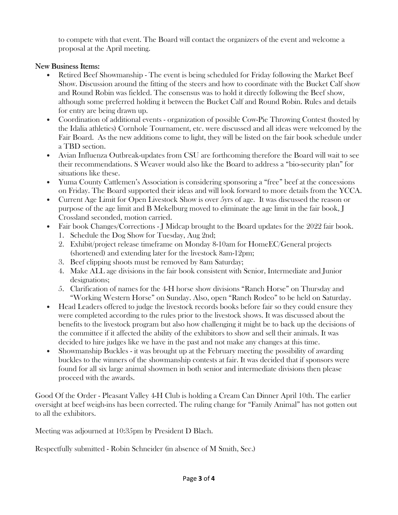to compete with that event. The Board will contact the organizers of the event and welcome a proposal at the April meeting.

## New Business Items:

- Retired Beef Showmanship The event is being scheduled for Friday following the Market Beef Show. Discussion around the fitting of the steers and how to coordinate with the Bucket Calf show and Round Robin was fielded. The consensus was to hold it directly following the Beef show, although some preferred holding it between the Bucket Calf and Round Robin. Rules and details for entry are being drawn up.
- Coordination of additional events organization of possible Cow-Pie Throwing Contest (hosted by the Idalia athletics) Cornhole Tournament, etc. were discussed and all ideas were welcomed by the Fair Board. As the new additions come to light, they will be listed on the fair book schedule under a TBD section.
- Avian Influenza Outbreak-updates from CSU are forthcoming therefore the Board will wait to see their recommendations. S Weaver would also like the Board to address a "bio-security plan" for situations like these.
- Yuma County Cattlemen's Association is considering sponsoring a "free" beef at the concessions on Friday. The Board supported their ideas and will look forward to more details from the YCCA.
- Current Age Limit for Open Livestock Show is over 5yrs of age. It was discussed the reason or purpose of the age limit and B Mekelburg moved to eliminate the age limit in the fair book, J Crossland seconded, motion carried.
- Fair book Changes/Corrections J Midcap brought to the Board updates for the 2022 fair book.
	- 1. Schedule the Dog Show for Tuesday, Aug 2nd;
	- 2. Exhibit/project release timeframe on Monday 8-10am for HomeEC/General projects (shortened) and extending later for the livestock 8am-12pm;
	- 3. Beef clipping shoots must be removed by 8am Saturday;
	- 4. Make ALL age divisions in the fair book consistent with Senior, Intermediate and Junior designations;
	- 5. Clarification of names for the 4-H horse show divisions "Ranch Horse" on Thursday and "Working Western Horse" on Sunday. Also, open "Ranch Rodeo" to be held on Saturday.
- Head Leaders offered to judge the livestock records books before fair so they could ensure they were completed according to the rules prior to the livestock shows. It was discussed about the benefits to the livestock program but also how challenging it might be to back up the decisions of the committee if it affected the ability of the exhibitors to show and sell their animals. It was decided to hire judges like we have in the past and not make any changes at this time.
- Showmanship Buckles it was brought up at the February meeting the possibility of awarding buckles to the winners of the showmanship contests at fair. It was decided that if sponsors were found for all six large animal showmen in both senior and intermediate divisions then please proceed with the awards.

Good Of the Order - Pleasant Valley 4-H Club is holding a Cream Can Dinner April 10th. The earlier oversight at beef weigh-ins has been corrected. The ruling change for "Family Animal" has not gotten out to all the exhibitors.

Meeting was adjourned at 10:35pm by President D Blach.

Respectfully submitted - Robin Schneider (in absence of M Smith, Sec.)